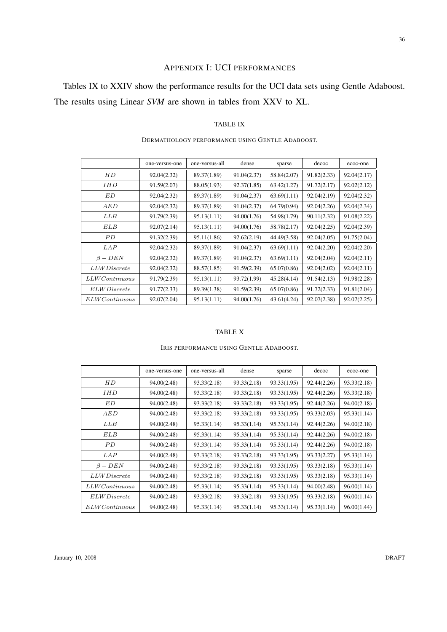# APPENDIX I: UCI PERFORMANCES

Tables IX to XXIV show the performance results for the UCI data sets using Gentle Adaboost. The results using Linear *SVM* are shown in tables from XXV to XL.

#### TABLE IX

|                         | one-versus-one | one-versus-all | dense       | sparse      | decoc       | ecoc-one    |
|-------------------------|----------------|----------------|-------------|-------------|-------------|-------------|
| HD                      | 92.04(2.32)    | 89.37(1.89)    | 91.04(2.37) | 58.84(2.07) | 91.82(2.33) | 92.04(2.17) |
| <i>IHD</i>              | 91.59(2.07)    | 88.05(1.93)    | 92.37(1.85) | 63.42(1.27) | 91.72(2.17) | 92.02(2.12) |
| ΕD                      | 92.04(2.32)    | 89.37(1.89)    | 91.04(2.37) | 63.69(1.11) | 92.04(2.19) | 92.04(2.32) |
| AED                     | 92.04(2.32)    | 89.37(1.89)    | 91.04(2.37) | 64.79(0.94) | 92.04(2.26) | 92.04(2.34) |
| LLB                     | 91.79(2.39)    | 95.13(1.11)    | 94.00(1.76) | 54.98(1.79) | 90.11(2.32) | 91.08(2.22) |
| ELB                     | 92.07(2.14)    | 95.13(1.11)    | 94.00(1.76) | 58.78(2.17) | 92.04(2.25) | 92.04(2.39) |
| PD                      | 91.32(2.39)    | 95.11(1.86)    | 92.62(2.19) | 44.49(3.58) | 92.04(2.05) | 91.75(2.04) |
| <i>LAP</i>              | 92.04(2.32)    | 89.37(1.89)    | 91.04(2.37) | 63.69(1.11) | 92.04(2.20) | 92.04(2.20) |
| $\beta - DEN$           | 92.04(2.32)    | 89.37(1.89)    | 91.04(2.37) | 63.69(1.11) | 92.04(2.04) | 92.04(2.11) |
| <i>LLW Discrete</i>     | 92.04(2.32)    | 88.57(1.85)    | 91.59(2.39) | 65.07(0.86) | 92.04(2.02) | 92.04(2.11) |
| $LLWC$ ontinuous        | 91.79(2.39)    | 95.13(1.11)    | 93.72(1.99) | 45.28(4.14) | 91.54(2.13) | 91.98(2.28) |
| ELWDiscrete             | 91.77(2.33)    | 89.39(1.38)    | 91.59(2.39) | 65.07(0.86) | 91.72(2.33) | 91.81(2.04) |
| $ELWC$ <i>ontinuous</i> | 92.07(2.04)    | 95.13(1.11)    | 94.00(1.76) | 43.61(4.24) | 92.07(2.38) | 92.07(2.25) |

#### DERMATHOLOGY PERFORMANCE USING GENTLE ADABOOST.

#### TABLE X

#### IRIS PERFORMANCE USING GENTLE ADABOOST.

|                         | one-versus-one | one-versus-all | dense       | sparse      | decoc       | ecoc-one    |
|-------------------------|----------------|----------------|-------------|-------------|-------------|-------------|
| НD                      | 94.00(2.48)    | 93.33(2.18)    | 93.33(2.18) | 93.33(1.95) | 92.44(2.26) | 93.33(2.18) |
| IHD                     | 94.00(2.48)    | 93.33(2.18)    | 93.33(2.18) | 93.33(1.95) | 92.44(2.26) | 93.33(2.18) |
| ED                      | 94.00(2.48)    | 93.33(2.18)    | 93.33(2.18) | 93.33(1.95) | 92.44(2.26) | 94.00(2.18) |
| AED                     | 94.00(2.48)    | 93.33(2.18)    | 93.33(2.18) | 93.33(1.95) | 93.33(2.03) | 95.33(1.14) |
| LLB                     | 94.00(2.48)    | 95.33(1.14)    | 95.33(1.14) | 95.33(1.14) | 92.44(2.26) | 94.00(2.18) |
| ELB                     | 94.00(2.48)    | 95.33(1.14)    | 95.33(1.14) | 95.33(1.14) | 92.44(2.26) | 94.00(2.18) |
| PD                      | 94.00(2.48)    | 93.33(1.14)    | 95.33(1.14) | 95.33(1.14) | 92.44(2.26) | 94.00(2.18) |
| LAP                     | 94.00(2.48)    | 93.33(2.18)    | 93.33(2.18) | 93.33(1.95) | 93.33(2.27) | 95.33(1.14) |
| $\beta - DEN$           | 94.00(2.48)    | 93.33(2.18)    | 93.33(2.18) | 93.33(1.95) | 93.33(2.18) | 95.33(1.14) |
| <i>LLW Discrete</i>     | 94.00(2.48)    | 93.33(2.18)    | 93.33(2.18) | 93.33(1.95) | 93.33(2.18) | 95.33(1.14) |
| $LLWC$ ontinuous        | 94.00(2.48)    | 95.33(1.14)    | 95.33(1.14) | 95.33(1.14) | 94.00(2.48) | 96.00(1.14) |
| <i>ELW Discrete</i>     | 94.00(2.48)    | 93.33(2.18)    | 93.33(2.18) | 93.33(1.95) | 93.33(2.18) | 96.00(1.14) |
| $ELWC$ <i>ontinuous</i> | 94.00(2.48)    | 95.33(1.14)    | 95.33(1.14) | 95.33(1.14) | 95.33(1.14) | 96.00(1.44) |

36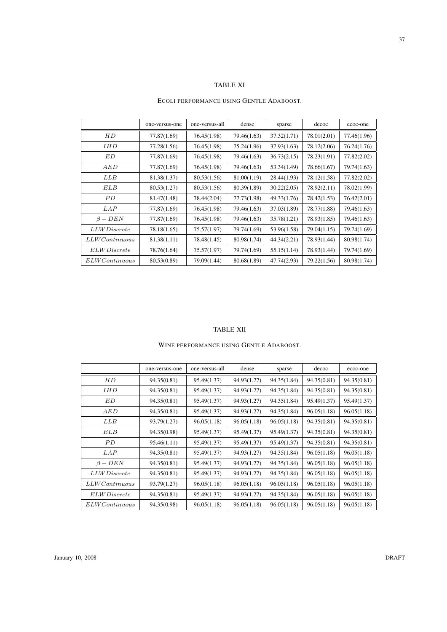# TABLE XI

## ECOLI PERFORMANCE USING GENTLE ADABOOST.

|                     | one-versus-one | one-versus-all | dense       | sparse      | decoc       | ecoc-one    |
|---------------------|----------------|----------------|-------------|-------------|-------------|-------------|
| НD                  | 77.87(1.69)    | 76.45(1.98)    | 79.46(1.63) | 37.32(1.71) | 78.01(2.01) | 77.46(1.96) |
| <i>IHD</i>          | 77.28(1.56)    | 76.45(1.98)    | 75.24(1.96) | 37.93(1.63) | 78.12(2.06) | 76.24(1.76) |
| ED                  | 77.87(1.69)    | 76.45(1.98)    | 79.46(1.63) | 36.73(2.15) | 78.23(1.91) | 77.82(2.02) |
| AED                 | 77.87(1.69)    | 76.45(1.98)    | 79.46(1.63) | 53.34(1.49) | 78.66(1.67) | 79.74(1.63) |
| LLB                 | 81.38(1.37)    | 80.53(1.56)    | 81.00(1.19) | 28.44(1.93) | 78.12(1.58) | 77.82(2.02) |
| ELB                 | 80.53(1.27)    | 80.53(1.56)    | 80.39(1.89) | 30.22(2.05) | 78.92(2.11) | 78.02(1.99) |
| PD.                 | 81.47(1.48)    | 78.44(2.04)    | 77.73(1.98) | 49.33(1.76) | 78.42(1.53) | 76.42(2.01) |
| LAP                 | 77.87(1.69)    | 76.45(1.98)    | 79.46(1.63) | 37.03(1.89) | 78.77(1.88) | 79.46(1.63) |
| $\beta - DEN$       | 77.87(1.69)    | 76.45(1.98)    | 79.46(1.63) | 35.78(1.21) | 78.93(1.85) | 79.46(1.63) |
| <i>LLW Discrete</i> | 78.18(1.65)    | 75.57(1.97)    | 79.74(1.69) | 53.96(1.58) | 79.04(1.15) | 79.74(1.69) |
| $LLWC$ ontinuous    | 81.38(1.11)    | 78.48(1.45)    | 80.98(1.74) | 44.34(2.21) | 78.93(1.44) | 80.98(1.74) |
| ELW Discrete        | 78.76(1.64)    | 75.57(1.97)    | 79.74(1.69) | 55.15(1.14) | 78.93(1.44) | 79.74(1.69) |
| $ELWC$ ontinuous    | 80.53(0.89)    | 79.09(1.44)    | 80.68(1.89) | 47.74(2.93) | 79.22(1.56) | 80.98(1.74) |

## TABLE XII

## WINE PERFORMANCE USING GENTLE ADABOOST.

|                     | one-versus-one | one-versus-all | dense       | sparse      | decoc       | ecoc-one    |
|---------------------|----------------|----------------|-------------|-------------|-------------|-------------|
| HD                  | 94.35(0.81)    | 95.49(1.37)    | 94.93(1.27) | 94.35(1.84) | 94.35(0.81) | 94.35(0.81) |
| <i>IHD</i>          | 94.35(0.81)    | 95.49(1.37)    | 94.93(1.27) | 94.35(1.84) | 94.35(0.81) | 94.35(0.81) |
| ED                  | 94.35(0.81)    | 95.49(1.37)    | 94.93(1.27) | 94.35(1.84) | 95.49(1.37) | 95.49(1.37) |
| AED                 | 94.35(0.81)    | 95.49(1.37)    | 94.93(1.27) | 94.35(1.84) | 96.05(1.18) | 96.05(1.18) |
| LLB                 | 93.79(1.27)    | 96.05(1.18)    | 96.05(1.18) | 96.05(1.18) | 94.35(0.81) | 94.35(0.81) |
| <b>ELB</b>          | 94.35(0.98)    | 95.49(1.37)    | 95.49(1.37) | 95.49(1.37) | 94.35(0.81) | 94.35(0.81) |
| PD.                 | 95.46(1.11)    | 95.49(1.37)    | 95.49(1.37) | 95.49(1.37) | 94.35(0.81) | 94.35(0.81) |
| LAP                 | 94.35(0.81)    | 95.49(1.37)    | 94.93(1.27) | 94.35(1.84) | 96.05(1.18) | 96.05(1.18) |
| $\beta - DEN$       | 94.35(0.81)    | 95.49(1.37)    | 94.93(1.27) | 94.35(1.84) | 96.05(1.18) | 96.05(1.18) |
| <i>LLW Discrete</i> | 94.35(0.81)    | 95.49(1.37)    | 94.93(1.27) | 94.35(1.84) | 96.05(1.18) | 96.05(1.18) |
| $LLWC$ ontinuous    | 93.79(1.27)    | 96.05(1.18)    | 96.05(1.18) | 96.05(1.18) | 96.05(1.18) | 96.05(1.18) |
| <i>ELW Discrete</i> | 94.35(0.81)    | 95.49(1.37)    | 94.93(1.27) | 94.35(1.84) | 96.05(1.18) | 96.05(1.18) |
| $ELWC$ ontinuous    | 94.35(0.98)    | 96.05(1.18)    | 96.05(1.18) | 96.05(1.18) | 96.05(1.18) | 96.05(1.18) |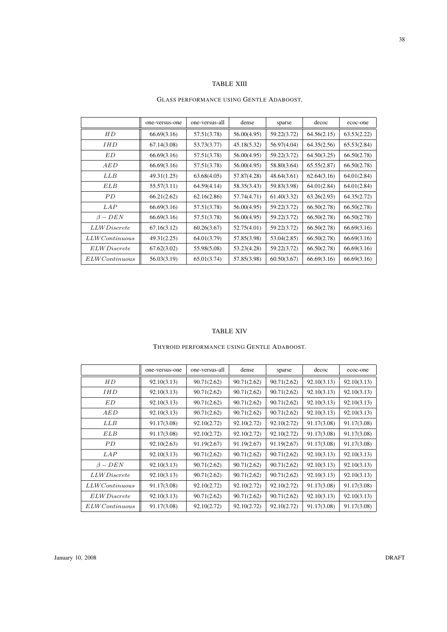## TABLE XIII

#### GLASS PERFORMANCE USING GENTLE ADABOOST.

|                         | one-versus-one | one-versus-all | dense       | sparse      | decoc       | ecoc-one    |
|-------------------------|----------------|----------------|-------------|-------------|-------------|-------------|
| НD                      | 66.69(3.16)    | 57.51(3.78)    | 56.00(4.95) | 59.22(3.72) | 64.56(2.15) | 63.53(2.22) |
| <i>IHD</i>              | 67.14(3.08)    | 53.73(3.77)    | 45.18(5.32) | 56.97(4.04) | 64.35(2.56) | 65.53(2.84) |
| ED                      | 66.69(3.16)    | 57.51(3.78)    | 56.00(4.95) | 59.22(3.72) | 64.50(3.25) | 66.50(2.78) |
| AED                     | 66.69(3.16)    | 57.51(3.78)    | 56.00(4.95) | 58.80(3.64) | 65.55(2.87) | 66.50(2.78) |
| LLB                     | 49.31(1.25)    | 63.68(4.05)    | 57.87(4.28) | 48.64(3.61) | 62.64(3.16) | 64.01(2.84) |
| ELB                     | 55.57(3.11)    | 64.59(4.14)    | 58.35(3.43) | 59.83(3.98) | 64.01(2.84) | 64.01(2.84) |
| PD.                     | 66.21(2.62)    | 62.16(2.86)    | 57.74(4.71) | 61.40(3.32) | 63.26(2.93) | 64.35(2.72) |
| <i>LAP</i>              | 66.69(3.16)    | 57.51(3.78)    | 56.00(4.95) | 59.22(3.72) | 66.50(2.78) | 66.50(2.78) |
| $\beta - DEN$           | 66.69(3.16)    | 57.51(3.78)    | 56.00(4.95) | 59.22(3.72) | 66.50(2.78) | 66.50(2.78) |
| <i>LLW Discrete</i>     | 67.16(3.12)    | 60.26(3.67)    | 52.75(4.01) | 59.22(3.72) | 66.50(2.78) | 66.69(3.16) |
| $LLWC$ ontinuous        | 49.31(2.25)    | 64.01(3.79)    | 57.85(3.98) | 53.04(2.85) | 66.50(2.78) | 66.69(3.16) |
| <i>ELW Discrete</i>     | 67.62(3.02)    | 55.98(5.08)    | 53.23(4.28) | 59.22(3.72) | 66.50(2.78) | 66.69(3.16) |
| $ELWC$ <i>ontinuous</i> | 56.03(3.19)    | 65.01(3.74)    | 57.85(3.98) | 60.50(3.67) | 66.69(3.16) | 66.69(3.16) |

#### TABLE XIV

## THYROID PERFORMANCE USING GENTLE ADABOOST.

|                     | one-versus-one | one-versus-all | dense       | sparse      | decoc       | ecoc-one    |
|---------------------|----------------|----------------|-------------|-------------|-------------|-------------|
| HD                  | 92.10(3.13)    | 90.71(2.62)    | 90.71(2.62) | 90.71(2.62) | 92.10(3.13) | 92.10(3.13) |
| <i>IHD</i>          | 92.10(3.13)    | 90.71(2.62)    | 90.71(2.62) | 90.71(2.62) | 92.10(3.13) | 92.10(3.13) |
| ED                  | 92.10(3.13)    | 90.71(2.62)    | 90.71(2.62) | 90.71(2.62) | 92.10(3.13) | 92.10(3.13) |
| AED                 | 92.10(3.13)    | 90.71(2.62)    | 90.71(2.62) | 90.71(2.62) | 92.10(3.13) | 92.10(3.13) |
| LLB                 | 91.17(3.08)    | 92.10(2.72)    | 92.10(2.72) | 92.10(2.72) | 91.17(3.08) | 91.17(3.08) |
| <b>ELB</b>          | 91.17(3.08)    | 92.10(2.72)    | 92.10(2.72) | 92.10(2.72) | 91.17(3.08) | 91.17(3.08) |
| PD.                 | 92.10(2.63)    | 91.19(2.67)    | 91.19(2.67) | 91.19(2.67) | 91.17(3.08) | 91.17(3.08) |
| <i>LAP</i>          | 92.10(3.13)    | 90.71(2.62)    | 90.71(2.62) | 90.71(2.62) | 92.10(3.13) | 92.10(3.13) |
| $\beta - DEN$       | 92.10(3.13)    | 90.71(2.62)    | 90.71(2.62) | 90.71(2.62) | 92.10(3.13) | 92.10(3.13) |
| <i>LLW Discrete</i> | 92.10(3.13)    | 90.71(2.62)    | 90.71(2.62) | 90.71(2.62) | 92.10(3.13) | 92.10(3.13) |
| $LLWC$ ontinuous    | 91.17(3.08)    | 92.10(2.72)    | 92.10(2.72) | 92.10(2.72) | 91.17(3.08) | 91.17(3.08) |
| <i>ELW Discrete</i> | 92.10(3.13)    | 90.71(2.62)    | 90.71(2.62) | 90.71(2.62) | 92.10(3.13) | 92.10(3.13) |
| ELWContinuous       | 91.17(3.08)    | 92.10(2.72)    | 92.10(2.72) | 92.10(2.72) | 91.17(3.08) | 91.17(3.08) |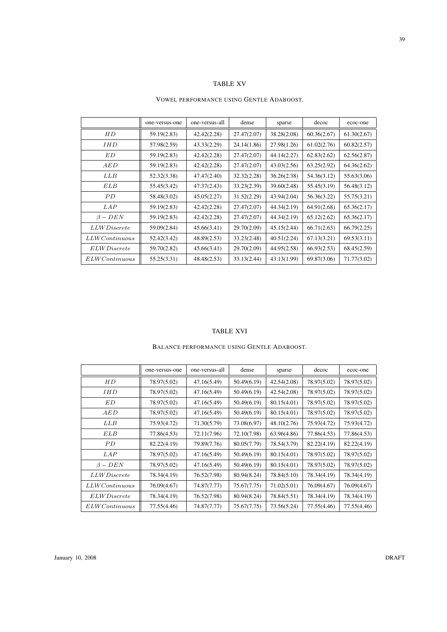# TABLE XV

#### VOWEL PERFORMANCE USING GENTLE ADABOOST.

|                         | one-versus-one | one-versus-all | dense       | sparse      | decoc       | ecoc-one    |
|-------------------------|----------------|----------------|-------------|-------------|-------------|-------------|
| HD                      | 59.19(2.83)    | 42.42(2.28)    | 27.47(2.07) | 38.28(2.08) | 60.36(2.67) | 61.30(2.67) |
| <i>IHD</i>              | 57.98(2.59)    | 43.33(2.29)    | 24.14(1.86) | 27.98(1.26) | 61.02(2.76) | 60.82(2.57) |
| ED                      | 59.19(2.83)    | 42.42(2.28)    | 27.47(2.07) | 44.14(2.27) | 62.83(2.62) | 62.56(2.87) |
| AED                     | 59.19(2.83)    | 42.42(2.28)    | 27.47(2.07) | 43.03(2.56) | 63.25(2.92) | 64.36(2.62) |
| LLB                     | 52.32(3.38)    | 47.47(2.40)    | 32.32(2.28) | 36.26(2.38) | 54.36(3.12) | 55.63(3.06) |
| ELB                     | 55.45(3.42)    | 47.37(2.43)    | 33.23(2.39) | 39.60(2.48) | 55.45(3.19) | 56.48(3.12) |
| PD.                     | 58.48(3.02)    | 45.05(2.27)    | 31.52(2.29) | 43.94(2.04) | 56.36(3.22) | 55.75(3.21) |
| LAP                     | 59.19(2.83)    | 42.42(2.28)    | 27.47(2.07) | 44.34(2.19) | 64.91(2.68) | 65.36(2.17) |
| $\beta - DEN$           | 59.19(2.83)    | 42.42(2.28)    | 27.47(2.07) | 44.34(2.19) | 65.12(2.62) | 65.36(2.17) |
| <i>LLW Discrete</i>     | 59.09(2.84)    | 45.66(3.41)    | 29.70(2.09) | 45.15(2.44) | 66.71(2.63) | 66.79(2.25) |
| $LLWC$ ontinuous        | 52.42(3.42)    | 48.89(2.53)    | 33.23(2.48) | 40.51(2.24) | 67.13(3.21) | 69.53(3.11) |
| <i>ELW Discrete</i>     | 59.70(2.82)    | 45.66(3.41)    | 29.70(2.09) | 44.95(2.58) | 66.93(2.53) | 68.45(2.59) |
| $ELWC$ <i>ontinuous</i> | 55.25(3.31)    | 48.48(2.53)    | 33.13(2.44) | 43.13(1.99) | 69.87(3.06) | 71.77(3.02) |

#### TABLE XVI

## BALANCE PERFORMANCE USING GENTLE ADABOOST.

|                     | one-versus-one | one-versus-all | dense       | sparse      | decoc       | ecoc-one    |
|---------------------|----------------|----------------|-------------|-------------|-------------|-------------|
| HD                  | 78.97(5.02)    | 47.16(5.49)    | 50.49(6.19) | 42.54(2.08) | 78.97(5.02) | 78.97(5.02) |
| <i>IHD</i>          | 78.97(5.02)    | 47.16(5.49)    | 50.49(6.19) | 42.54(2.08) | 78.97(5.02) | 78.97(5.02) |
| ED                  | 78.97(5.02)    | 47.16(5.49)    | 50.49(6.19) | 80.15(4.01) | 78.97(5.02) | 78.97(5.02) |
| AED                 | 78.97(5.02)    | 47.16(5.49)    | 50.49(6.19) | 80.15(4.01) | 78.97(5.02) | 78.97(5.02) |
| <b>LLB</b>          | 75.93(4.72)    | 71.30(5.79)    | 73.08(6.97) | 48.10(2.76) | 75.93(4.72) | 75.93(4.72) |
| ELB                 | 77.86(4.53)    | 72.11(7.96)    | 72.10(7.98) | 63.96(4.86) | 77.86(4.53) | 77.86(4.53) |
| PD.                 | 82.22(4.19)    | 79.89(7.76)    | 80.05(7.79) | 78.54(3.79) | 82.22(4.19) | 82.22(4.19) |
| LAP                 | 78.97(5.02)    | 47.16(5.49)    | 50.49(6.19) | 80.15(4.01) | 78.97(5.02) | 78.97(5.02) |
| $\beta - DEN$       | 78.97(5.02)    | 47.16(5.49)    | 50.49(6.19) | 80.15(4.01) | 78.97(5.02) | 78.97(5.02) |
| <i>LLW Discrete</i> | 78.34(4.19)    | 76.52(7.98)    | 80.94(8.24) | 78.84(5.10) | 78.34(4.19) | 78.34(4.19) |
| $LLWC$ ontinuous    | 76.09(4.67)    | 74.87(7.77)    | 75.67(7.75) | 71.02(5.01) | 76.09(4.67) | 76.09(4.67) |
| <i>ELW Discrete</i> | 78.34(4.19)    | 76.52(7.98)    | 80.94(8.24) | 78.84(5.51) | 78.34(4.19) | 78.34(4.19) |
| ELWContinuous       | 77.55(4.46)    | 74.87(7.77)    | 75.67(7.75) | 73.56(5.24) | 77.55(4.46) | 77.55(4.46) |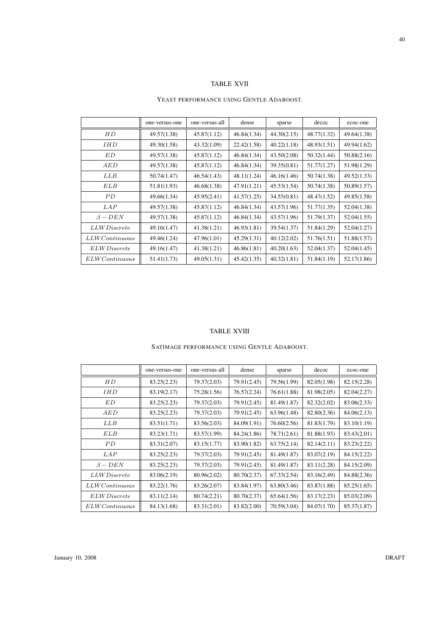# TABLE XVII

#### YEAST PERFORMANCE USING GENTLE ADABOOST.

|                         | one-versus-one | one-versus-all | dense       | sparse      | decoc       | ecoc-one    |
|-------------------------|----------------|----------------|-------------|-------------|-------------|-------------|
| НD                      | 49.57(1.38)    | 45.87(1.12)    | 46.84(1.34) | 44.30(2.15) | 48.77(1.32) | 49.64(1.38) |
| <i>IHD</i>              | 49.30(1.58)    | 43.32(1.09)    | 22.42(1.58) | 40.22(1.18) | 48.93(1.51) | 49.94(1.62) |
| ED                      | 49.57(1.38)    | 45.87(1.12)    | 46.84(1.34) | 43.50(2.08) | 50.32(1.44) | 50.88(2.16) |
| AED                     | 49.57(1.38)    | 45.87(1.12)    | 46.84(1.34) | 39.35(0.81) | 51.77(1.27) | 51.98(1.29) |
| LLB                     | 50.74(1.47)    | 46.54(1.43)    | 48.11(1.24) | 46.16(1.46) | 50.74(1.38) | 49.52(1.33) |
| ELB                     | 51.81(1.93)    | 46.68(1.38)    | 47.91(1.21) | 45.53(1.54) | 50.74(1.38) | 50.89(1.57) |
| PD.                     | 49.66(1.34)    | 45.95(2.41)    | 41.57(1.25) | 34.55(0.81) | 48.47(1.52) | 49.85(1.58) |
| LAP                     | 49.57(1.38)    | 45.87(1.12)    | 46.84(1.34) | 43.57(1.96) | 51.77(1.35) | 52.04(1.38) |
| $\beta - DEN$           | 49.57(1.38)    | 45.87(1.12)    | 46.84(1.34) | 43.57(1.96) | 51.79(1.37) | 52.04(1.55) |
| <i>LLW Discrete</i>     | 49.16(1.47)    | 41.38(1.21)    | 46.93(1.81) | 39.54(1.37) | 51.84(1.29) | 52.04(1.27) |
| $LLWC$ ontinuous        | 49.46(1.24)    | 47.96(1.01)    | 45.29(1.31) | 40.12(2.02) | 51.76(1.51) | 51.88(1.57) |
| <i>ELW Discrete</i>     | 49.16(1.47)    | 41.38(1.21)    | 46.86(1.81) | 40.20(1.63) | 52.04(1.37) | 52.04(1.45) |
| $ELWC$ <i>ontinuous</i> | 51.41(1.73)    | 49.05(1.31)    | 45.42(1.35) | 40.32(1.81) | 51.84(1.19) | 52.17(1.86) |

#### TABLE XVIII

## SATIMAGE PERFORMANCE USING GENTLE ADABOOST.

|                     | one-versus-one | one-versus-all | dense       | sparse      | decoc       | ecoc-one    |
|---------------------|----------------|----------------|-------------|-------------|-------------|-------------|
| HD                  | 83.25(2.23)    | 79.37(2.03)    | 79.91(2.45) | 79.56(1.99) | 82.05(1.98) | 82.15(2.28) |
| <b>IHD</b>          | 83.19(2.17)    | 75.28(1.56)    | 76.57(2.24) | 76.61(1.88) | 81.98(2.05) | 82.04(2.27) |
| ED                  | 83.25(2.23)    | 79.37(2.03)    | 79.91(2.45) | 81.49(1.87) | 82.32(2.02) | 83.06(2.33) |
| AED                 | 83.25(2.23)    | 79.37(2.03)    | 79.91(2.45) | 63.96(1.48) | 82.80(2.36) | 84.06(2.13) |
| <b>LLB</b>          | 83.51(1.71)    | 83.56(2.03)    | 84.09(1.91) | 76.60(2.56) | 81.83(1.79) | 83.10(1.19) |
| ELB                 | 83.23(1.71)    | 83.57(1.99)    | 84.24(1.86) | 78.71(2.61) | 81.88(1.93) | 83.43(2.01) |
| PD                  | 83.31(2.07)    | 83.15(1.77)    | 83.90(1.82) | 63.75(2.14) | 82.14(2.11) | 83.23(2.22) |
| LAP                 | 83.25(2.23)    | 79.37(2.03)    | 79.91(2.45) | 81.49(1.87) | 83.07(2.19) | 84.15(2.22) |
| $\beta - DEN$       | 83.25(2.23)    | 79.37(2.03)    | 79.91(2.45) | 81.49(1.87) | 83.11(2.28) | 84.15(2.09) |
| <i>LLW Discrete</i> | 83.06(2.19)    | 80.96(2.02)    | 80.70(2.37) | 67.33(2.54) | 83.16(2.49) | 84.88(2.36) |
| $LLWC$ ontinuous    | 83.22(1.76)    | 83.26(2.07)    | 83.84(1.97) | 63.80(3.46) | 83.87(1.88) | 85.25(1.65) |
| ELW Discrete        | 83.11(2.14)    | 80.74(2.21)    | 80.70(2.37) | 65.64(1.56) | 83.17(2.23) | 85.03(2.09) |
| ELWContinuous       | 84.13(1.68)    | 83.31(2.01)    | 83.82(2.00) | 70.59(3.04) | 84.07(1.70) | 85.37(1.87) |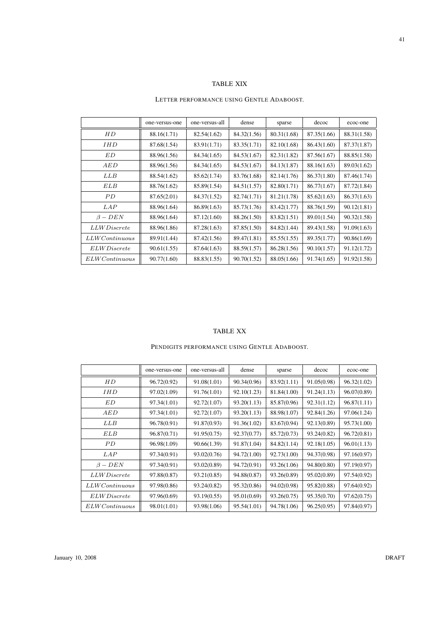## TABLE XIX

#### LETTER PERFORMANCE USING GENTLE ADABOOST.

|                         | one-versus-one | one-versus-all | dense       | sparse      | decoc       | ecoc-one    |
|-------------------------|----------------|----------------|-------------|-------------|-------------|-------------|
| HD                      | 88.16(1.71)    | 82.54(1.62)    | 84.32(1.56) | 80.31(1.68) | 87.35(1.66) | 88.31(1.58) |
| <i>IHD</i>              | 87.68(1.54)    | 83.91(1.71)    | 83.35(1.71) | 82.10(1.68) | 86.43(1.60) | 87.37(1.87) |
| ED                      | 88.96(1.56)    | 84.34(1.65)    | 84.53(1.67) | 82.31(1.82) | 87.56(1.67) | 88.85(1.58) |
| AED                     | 88.96(1.56)    | 84.34(1.65)    | 84.53(1.67) | 84.13(1.87) | 88.16(1.63) | 89.03(1.62) |
| <b>LLB</b>              | 88.54(1.62)    | 85.62(1.74)    | 83.76(1.68) | 82.14(1.76) | 86.37(1.80) | 87.46(1.74) |
| ELB                     | 88.76(1.62)    | 85.89(1.54)    | 84.51(1.57) | 82.80(1.71) | 86.77(1.67) | 87.72(1.84) |
| PD.                     | 87.65(2.01)    | 84.37(1.52)    | 82.74(1.71) | 81.21(1.78) | 85.62(1.63) | 86.37(1.63) |
| LAP                     | 88.96(1.64)    | 86.89(1.63)    | 85.73(1.76) | 83.42(1.77) | 88.76(1.59) | 90.12(1.81) |
| $\beta - DEN$           | 88.96(1.64)    | 87.12(1.60)    | 88.26(1.50) | 83.82(1.51) | 89.01(1.54) | 90.32(1.58) |
| <i>LLWDiscrete</i>      | 88.96(1.86)    | 87.28(1.63)    | 87.85(1.50) | 84.82(1.44) | 89.43(1.58) | 91.09(1.63) |
| $LLWC$ ontinuous        | 89.91(1.44)    | 87.42(1.56)    | 89.47(1.81) | 85.55(1.55) | 89.35(1.77) | 90.86(1.69) |
| <i>ELW Discrete</i>     | 90.61(1.55)    | 87.64(1.63)    | 88.59(1.57) | 86.28(1.56) | 90.10(1.57) | 91.12(1.72) |
| $ELWC$ <i>ontinuous</i> | 90.77(1.60)    | 88.83(1.55)    | 90.70(1.52) | 88.05(1.66) | 91.74(1.65) | 91.92(1.58) |

#### TABLE XX

## PENDIGITS PERFORMANCE USING GENTLE ADABOOST.

|                     | one-versus-one | one-versus-all | dense       | sparse      | decoc       | ecoc-one    |
|---------------------|----------------|----------------|-------------|-------------|-------------|-------------|
| HD                  | 96.72(0.92)    | 91.08(1.01)    | 90.34(0.96) | 83.92(1.11) | 91.05(0.98) | 96.32(1.02) |
| <i>IHD</i>          | 97.02(1.09)    | 91.76(1.01)    | 92.10(1.23) | 81.84(1.00) | 91.24(1.13) | 96.07(0.89) |
| ED                  | 97.34(1.01)    | 92.72(1.07)    | 93.20(1.13) | 85.87(0.96) | 92.31(1.12) | 96.87(1.11) |
| AED                 | 97.34(1.01)    | 92.72(1.07)    | 93.20(1.13) | 88.98(1.07) | 92.84(1.26) | 97.06(1.24) |
| LLB                 | 96.78(0.91)    | 91.87(0.93)    | 91.36(1.02) | 83.67(0.94) | 92.13(0.89) | 95.73(1.00) |
| <b>ELB</b>          | 96.87(0.71)    | 91.95(0.75)    | 92.37(0.77) | 85.72(0.73) | 93.24(0.82) | 96.72(0.81) |
| PD.                 | 96.98(1.09)    | 90.66(1.39)    | 91.87(1.04) | 84.82(1.14) | 92.18(1.05) | 96.01(1.13) |
| <i>LAP</i>          | 97.34(0.91)    | 93.02(0.76)    | 94.72(1.00) | 92.73(1.00) | 94.37(0.98) | 97.16(0.97) |
| $\beta - DEN$       | 97.34(0.91)    | 93.02(0.89)    | 94.72(0.91) | 93.26(1.06) | 94.80(0.80) | 97.19(0.97) |
| <i>LLW Discrete</i> | 97.88(0.87)    | 93.21(0.85)    | 94.88(0.87) | 93.26(0.89) | 95.02(0.89) | 97.54(0.92) |
| $LLWC$ ontinuous    | 97.98(0.86)    | 93.24(0.82)    | 95.32(0.86) | 94.02(0.98) | 95.82(0.88) | 97.64(0.92) |
| <i>ELW Discrete</i> | 97.96(0.69)    | 93.19(0.55)    | 95.01(0.69) | 93.26(0.75) | 95.35(0.70) | 97.62(0.75) |
| $ELWC$ ontinuous    | 98.01(1.01)    | 93.98(1.06)    | 95.54(1.01) | 94.78(1.06) | 96.25(0.95) | 97.84(0.97) |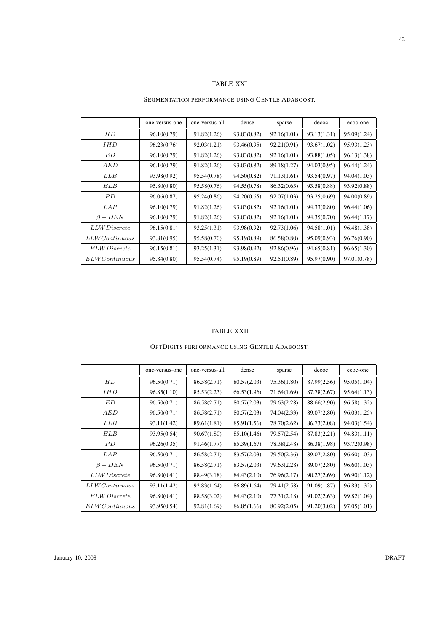# TABLE XXI

#### SEGMENTATION PERFORMANCE USING GENTLE ADABOOST.

|                         | one-versus-one | one-versus-all | dense       | sparse      | decoc       | ecoc-one    |
|-------------------------|----------------|----------------|-------------|-------------|-------------|-------------|
| НD                      | 96.10(0.79)    | 91.82(1.26)    | 93.03(0.82) | 92.16(1.01) | 93.13(1.31) | 95.09(1.24) |
| <i>IHD</i>              | 96.23(0.76)    | 92.03(1.21)    | 93.46(0.95) | 92.21(0.91) | 93.67(1.02) | 95.93(1.23) |
| ED                      | 96.10(0.79)    | 91.82(1.26)    | 93.03(0.82) | 92.16(1.01) | 93.88(1.05) | 96.13(1.38) |
| AED                     | 96.10(0.79)    | 91.82(1.26)    | 93.03(0.82) | 89.18(1.27) | 94.03(0.95) | 96.44(1.24) |
| LLB                     | 93.98(0.92)    | 95.54(0.78)    | 94.50(0.82) | 71.13(1.61) | 93.54(0.97) | 94.04(1.03) |
| ELB                     | 95.80(0.80)    | 95.58(0.76)    | 94.55(0.78) | 86.32(0.63) | 93.58(0.88) | 93.92(0.88) |
| PD.                     | 96.06(0.87)    | 95.24(0.86)    | 94.20(0.65) | 92.07(1.03) | 93.25(0.69) | 94.00(0.89) |
| LAP                     | 96.10(0.79)    | 91.82(1.26)    | 93.03(0.82) | 92.16(1.01) | 94.33(0.80) | 96.44(1.06) |
| $\beta - DEN$           | 96.10(0.79)    | 91.82(1.26)    | 93.03(0.82) | 92.16(1.01) | 94.35(0.70) | 96.44(1.17) |
| <i>LLW Discrete</i>     | 96.15(0.81)    | 93.25(1.31)    | 93.98(0.92) | 92.73(1.06) | 94.58(1.01) | 96.48(1.38) |
| $LLWC$ ontinuous        | 93.81(0.95)    | 95.58(0.70)    | 95.19(0.89) | 86.58(0.80) | 95.09(0.93) | 96.76(0.90) |
| <i>ELW Discrete</i>     | 96.15(0.81)    | 93.25(1.31)    | 93.98(0.92) | 92.86(0.96) | 94.65(0.81) | 96.65(1.30) |
| $ELWC$ <i>ontinuous</i> | 95.84(0.80)    | 95.54(0.74)    | 95.19(0.89) | 92.51(0.89) | 95.97(0.90) | 97.01(0.78) |

#### TABLE XXII

## OPTDIGITS PERFORMANCE USING GENTLE ADABOOST.

|                     | one-versus-one | one-versus-all | dense       | sparse      | decoc       | ecoc-one    |
|---------------------|----------------|----------------|-------------|-------------|-------------|-------------|
| HD                  | 96.50(0.71)    | 86.58(2.71)    | 80.57(2.03) | 75.36(1.80) | 87.99(2.56) | 95.05(1.04) |
| <i>IHD</i>          | 96.85(1.10)    | 85.53(2.23)    | 66.53(1.96) | 71.64(1.69) | 87.78(2.67) | 95.64(1.13) |
| ED                  | 96.50(0.71)    | 86.58(2.71)    | 80.57(2.03) | 79.63(2.28) | 88.66(2.90) | 96.58(1.32) |
| AED                 | 96.50(0.71)    | 86.58(2.71)    | 80.57(2.03) | 74.04(2.33) | 89.07(2.80) | 96.03(1.25) |
| LLB                 | 93.11(1.42)    | 89.61(1.81)    | 85.91(1.56) | 78.70(2.62) | 86.73(2.08) | 94.03(1.54) |
| <b>ELB</b>          | 93.95(0.54)    | 90.67(1.80)    | 85.10(1.46) | 79.57(2.54) | 87.83(2.21) | 94.83(1.11) |
| PD                  | 96.26(0.35)    | 91.46(1.77)    | 85.39(1.67) | 78.38(2.48) | 86.38(1.98) | 93.72(0.98) |
| LAP                 | 96.50(0.71)    | 86.58(2.71)    | 83.57(2.03) | 79.50(2.36) | 89.07(2.80) | 96.60(1.03) |
| $\beta - DEN$       | 96.50(0.71)    | 86.58(2.71)    | 83.57(2.03) | 79.63(2.28) | 89.07(2.80) | 96.60(1.03) |
| <i>LLW Discrete</i> | 96.80(0.41)    | 88.49(3.18)    | 84.43(2.10) | 76.96(2.17) | 90.27(2.69) | 96.90(1.12) |
| $LLWC$ ontinuous    | 93.11(1.42)    | 92.83(1.64)    | 86.89(1.64) | 79.41(2.58) | 91.09(1.87) | 96.83(1.32) |
| <i>ELW Discrete</i> | 96.80(0.41)    | 88.58(3.02)    | 84.43(2.10) | 77.31(2.18) | 91.02(2.63) | 99.82(1.04) |
| ELWContinuous       | 93.95(0.54)    | 92.81(1.69)    | 86.85(1.66) | 80.92(2.05) | 91.20(3.02) | 97.05(1.01) |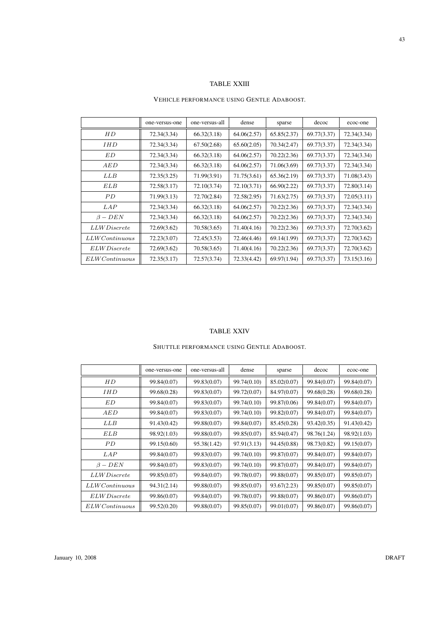#### VEHICLE PERFORMANCE USING GENTLE ADABOOST.

|                         | one-versus-one | one-versus-all | dense       | sparse      | decoc       | ecoc-one    |
|-------------------------|----------------|----------------|-------------|-------------|-------------|-------------|
| НD                      | 72.34(3.34)    | 66.32(3.18)    | 64.06(2.57) | 65.85(2.37) | 69.77(3.37) | 72.34(3.34) |
| <i>IHD</i>              | 72.34(3.34)    | 67.50(2.68)    | 65.60(2.05) | 70.34(2.47) | 69.77(3.37) | 72.34(3.34) |
| ED                      | 72.34(3.34)    | 66.32(3.18)    | 64.06(2.57) | 70.22(2.36) | 69.77(3.37) | 72.34(3.34) |
| AED                     | 72.34(3.34)    | 66.32(3.18)    | 64.06(2.57) | 71.06(3.69) | 69.77(3.37) | 72.34(3.34) |
| LLB                     | 72.35(3.25)    | 71.99(3.91)    | 71.75(3.61) | 65.36(2.19) | 69.77(3.37) | 71.08(3.43) |
| ELB                     | 72.58(3.17)    | 72.10(3.74)    | 72.10(3.71) | 66.90(2.22) | 69.77(3.37) | 72.80(3.14) |
| PD                      | 71.99(3.13)    | 72.70(2.84)    | 72.58(2.95) | 71.63(2.75) | 69.77(3.37) | 72.05(3.11) |
| <i>LAP</i>              | 72.34(3.34)    | 66.32(3.18)    | 64.06(2.57) | 70.22(2.36) | 69.77(3.37) | 72.34(3.34) |
| $\beta - DEN$           | 72.34(3.34)    | 66.32(3.18)    | 64.06(2.57) | 70.22(2.36) | 69.77(3.37) | 72.34(3.34) |
| <i>LLW Discrete</i>     | 72.69(3.62)    | 70.58(3.65)    | 71.40(4.16) | 70.22(2.36) | 69.77(3.37) | 72.70(3.62) |
| $LLWC$ ontinuous        | 72.23(3.07)    | 72.45(3.53)    | 72.46(4.46) | 69.14(1.99) | 69.77(3.37) | 72.70(3.62) |
| <i>ELW Discrete</i>     | 72.69(3.62)    | 70.58(3.65)    | 71.40(4.16) | 70.22(2.36) | 69.77(3.37) | 72.70(3.62) |
| $ELWC$ <i>ontinuous</i> | 72.35(3.17)    | 72.57(3.74)    | 72.33(4.42) | 69.97(1.94) | 69.77(3.37) | 73.15(3.16) |

#### TABLE XXIV

## SHUTTLE PERFORMANCE USING GENTLE ADABOOST.

|                     | one-versus-one | one-versus-all | dense       | sparse      | decoc       | ecoc-one    |
|---------------------|----------------|----------------|-------------|-------------|-------------|-------------|
| HD                  | 99.84(0.07)    | 99.83(0.07)    | 99.74(0.10) | 85.02(0.07) | 99.84(0.07) | 99.84(0.07) |
| IHD                 | 99.68(0.28)    | 99.83(0.07)    | 99.72(0.07) | 84.97(0.07) | 99.68(0.28) | 99.68(0.28) |
| ED                  | 99.84(0.07)    | 99.83(0.07)    | 99.74(0.10) | 99.87(0.06) | 99.84(0.07) | 99.84(0.07) |
| AED                 | 99.84(0.07)    | 99.83(0.07)    | 99.74(0.10) | 99.82(0.07) | 99.84(0.07) | 99.84(0.07) |
| LLB                 | 91.43(0.42)    | 99.88(0.07)    | 99.84(0.07) | 85.45(0.28) | 93.42(0.35) | 91.43(0.42) |
| ELB                 | 98.92(1.03)    | 99.88(0.07)    | 99.85(0.07) | 85.94(0.47) | 98.76(1.24) | 98.92(1.03) |
| PD                  | 99.15(0.60)    | 95.38(1.42)    | 97.91(3.13) | 94.45(0.88) | 98.73(0.82) | 99.15(0.07) |
| LAP                 | 99.84(0.07)    | 99.83(0.07)    | 99.74(0.10) | 99.87(0.07) | 99.84(0.07) | 99.84(0.07) |
| $\beta - DEN$       | 99.84(0.07)    | 99.83(0.07)    | 99.74(0.10) | 99.87(0.07) | 99.84(0.07) | 99.84(0.07) |
| <i>LLW Discrete</i> | 99.85(0.07)    | 99.84(0.07)    | 99.78(0.07) | 99.88(0.07) | 99.85(0.07) | 99.85(0.07) |
| $LLWC$ ontinuous    | 94.31(2.14)    | 99.88(0.07)    | 99.85(0.07) | 93.67(2.23) | 99.85(0.07) | 99.85(0.07) |
| ELW Discrete        | 99.86(0.07)    | 99.84(0.07)    | 99.78(0.07) | 99.88(0.07) | 99.86(0.07) | 99.86(0.07) |
| ELWContinuous       | 99.52(0.20)    | 99.88(0.07)    | 99.85(0.07) | 99.01(0.07) | 99.86(0.07) | 99.86(0.07) |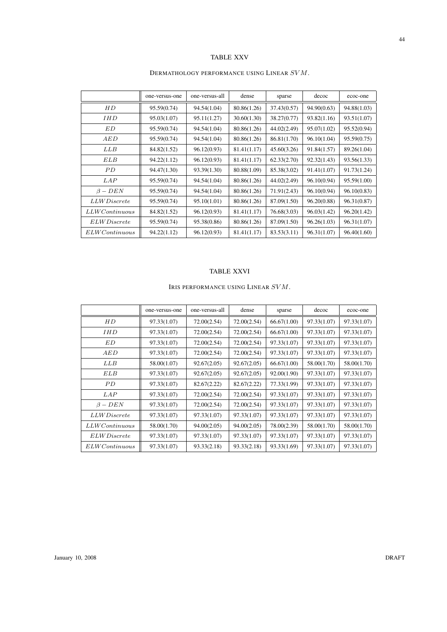# TABLE XXV

|                         | one-versus-one | one-versus-all | dense       | sparse      | decoc       | ecoc-one    |
|-------------------------|----------------|----------------|-------------|-------------|-------------|-------------|
| HD                      | 95.59(0.74)    | 94.54(1.04)    | 80.86(1.26) | 37.43(0.57) | 94.90(0.63) | 94.88(1.03) |
| IHD                     | 95.03(1.07)    | 95.11(1.27)    | 30.60(1.30) | 38.27(0.77) | 93.82(1.16) | 93.51(1.07) |
| ED                      | 95.59(0.74)    | 94.54(1.04)    | 80.86(1.26) | 44.02(2.49) | 95.07(1.02) | 95.52(0.94) |
| AED                     | 95.59(0.74)    | 94.54(1.04)    | 80.86(1.26) | 86.81(1.70) | 96.10(1.04) | 95.59(0.75) |
| LLB                     | 84.82(1.52)    | 96.12(0.93)    | 81.41(1.17) | 45.60(3.26) | 91.84(1.57) | 89.26(1.04) |
| ELB                     | 94.22(1.12)    | 96.12(0.93)    | 81.41(1.17) | 62.33(2.70) | 92.32(1.43) | 93.56(1.33) |
| P <sub>D</sub>          | 94.47(1.30)    | 93.39(1.30)    | 80.88(1.09) | 85.38(3.02) | 91.41(1.07) | 91.73(1.24) |
| LAP                     | 95.59(0.74)    | 94.54(1.04)    | 80.86(1.26) | 44.02(2.49) | 96.10(0.94) | 95.59(1.00) |
| $\beta - DEN$           | 95.59(0.74)    | 94.54(1.04)    | 80.86(1.26) | 71.91(2.43) | 96.10(0.94) | 96.10(0.83) |
| <i>LLWDiscrete</i>      | 95.59(0.74)    | 95.10(1.01)    | 80.86(1.26) | 87.09(1.50) | 96.20(0.88) | 96.31(0.87) |
| $LLWC$ ontinuous        | 84.82(1.52)    | 96.12(0.93)    | 81.41(1.17) | 76.68(3.03) | 96.03(1.42) | 96.20(1.42) |
| <i>ELW Discrete</i>     | 95.59(0.74)    | 95.38(0.86)    | 80.86(1.26) | 87.09(1.50) | 96.26(1.03) | 96.31(1.07) |
| $ELWC$ <i>ontinuous</i> | 94.22(1.12)    | 96.12(0.93)    | 81.41(1.17) | 83.53(3.11) | 96.31(1.07) | 96.40(1.60) |

## DERMATHOLOGY PERFORMANCE USING LINEAR SVM.

# TABLE XXVI

## IRIS PERFORMANCE USING LINEAR  $SVM.$

|                      | one-versus-one | one-versus-all | dense       | sparse      | decoc       | ecoc-one    |
|----------------------|----------------|----------------|-------------|-------------|-------------|-------------|
| HD                   | 97.33(1.07)    | 72.00(2.54)    | 72.00(2.54) | 66.67(1.00) | 97.33(1.07) | 97.33(1.07) |
| IHD                  | 97.33(1.07)    | 72.00(2.54)    | 72.00(2.54) | 66.67(1.00) | 97.33(1.07) | 97.33(1.07) |
| ED                   | 97.33(1.07)    | 72.00(2.54)    | 72.00(2.54) | 97.33(1.07) | 97.33(1.07) | 97.33(1.07) |
| AED                  | 97.33(1.07)    | 72.00(2.54)    | 72.00(2.54) | 97.33(1.07) | 97.33(1.07) | 97.33(1.07) |
| LLB                  | 58.00(1.07)    | 92.67(2.05)    | 92.67(2.05) | 66.67(1.00) | 58.00(1.70) | 58.00(1.70) |
| ELB                  | 97.33(1.07)    | 92.67(2.05)    | 92.67(2.05) | 92.00(1.90) | 97.33(1.07) | 97.33(1.07) |
| PD                   | 97.33(1.07)    | 82.67(2.22)    | 82.67(2.22) | 77.33(1.99) | 97.33(1.07) | 97.33(1.07) |
| LAP                  | 97.33(1.07)    | 72.00(2.54)    | 72.00(2.54) | 97.33(1.07) | 97.33(1.07) | 97.33(1.07) |
| $\beta - DEN$        | 97.33(1.07)    | 72.00(2.54)    | 72.00(2.54) | 97.33(1.07) | 97.33(1.07) | 97.33(1.07) |
| <i>LLW Discrete</i>  | 97.33(1.07)    | 97.33(1.07)    | 97.33(1.07) | 97.33(1.07) | 97.33(1.07) | 97.33(1.07) |
| $LLWC$ ontinuous     | 58.00(1.70)    | 94.00(2.05)    | 94.00(2.05) | 78.00(2.39) | 58.00(1.70) | 58.00(1.70) |
| <i>ELW Discrete</i>  | 97.33(1.07)    | 97.33(1.07)    | 97.33(1.07) | 97.33(1.07) | 97.33(1.07) | 97.33(1.07) |
| <i>ELWContinuous</i> | 97.33(1.07)    | 93.33(2.18)    | 93.33(2.18) | 93.33(1.69) | 97.33(1.07) | 97.33(1.07) |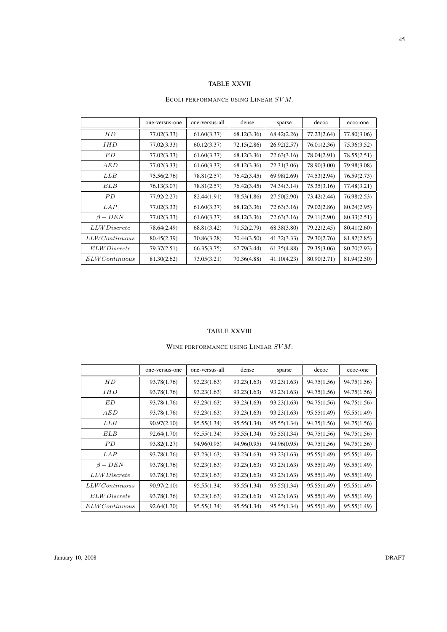## TABLE XXVII

#### ECOLI PERFORMANCE USING LINEAR  $SVM.$

|                         | one-versus-one | one-versus-all | dense       | sparse      | decoc       | ecoc-one    |
|-------------------------|----------------|----------------|-------------|-------------|-------------|-------------|
| HD                      | 77.02(3.33)    | 61.60(3.37)    | 68.12(3.36) | 68.42(2.26) | 77.23(2.64) | 77.80(3.06) |
| <i>IHD</i>              | 77.02(3.33)    | 60.12(3.37)    | 72.15(2.86) | 26.92(2.57) | 76.01(2.36) | 75.36(3.52) |
| ED                      | 77.02(3.33)    | 61.60(3.37)    | 68.12(3.36) | 72.63(3.16) | 78.04(2.91) | 78.55(2.51) |
| AED                     | 77.02(3.33)    | 61.60(3.37)    | 68.12(3.36) | 72.31(3.06) | 78.90(3.00) | 79.98(3.08) |
| LLB                     | 75.56(2.76)    | 78.81(2.57)    | 76.42(3.45) | 69.98(2.69) | 74.53(2.94) | 76.59(2.73) |
| ELB                     | 76.13(3.07)    | 78.81(2.57)    | 76.42(3.45) | 74.34(3.14) | 75.35(3.16) | 77.48(3.21) |
| PD.                     | 77.92(2.27)    | 82.44(1.91)    | 78.53(1.86) | 27.50(2.90) | 73.42(2.44) | 76.98(2.53) |
| LAP                     | 77.02(3.33)    | 61.60(3.37)    | 68.12(3.36) | 72.63(3.16) | 79.02(2.86) | 80.24(2.95) |
| $\beta - DEN$           | 77.02(3.33)    | 61.60(3.37)    | 68.12(3.36) | 72.63(3.16) | 79.11(2.90) | 80.33(2.51) |
| <i>LLW Discrete</i>     | 78.64(2.49)    | 68.81(3.42)    | 71.52(2.79) | 68.38(3.80) | 79.22(2.45) | 80.41(2.60) |
| $LLWC$ ontinuous        | 80.45(2.39)    | 70.86(3.28)    | 70.44(3.50) | 41.32(3.33) | 79.30(2.76) | 81.82(2.85) |
| <i>ELW Discrete</i>     | 79.37(2.51)    | 66.35(3.75)    | 67.79(3.44) | 61.35(4.88) | 79.35(3.06) | 80.70(2.93) |
| $ELWC$ <i>ontinuous</i> | 81.30(2.62)    | 73.05(3.21)    | 70.36(4.88) | 41.10(4.23) | 80.90(2.71) | 81.94(2.50) |

#### TABLE XXVIII

## WINE PERFORMANCE USING LINEAR  $SVM$ .

|                     | one-versus-one | one-versus-all | dense       | sparse      | decoc       | ecoc-one    |
|---------------------|----------------|----------------|-------------|-------------|-------------|-------------|
| HD                  | 93.78(1.76)    | 93.23(1.63)    | 93.23(1.63) | 93.23(1.63) | 94.75(1.56) | 94.75(1.56) |
| <i>IHD</i>          | 93.78(1.76)    | 93.23(1.63)    | 93.23(1.63) | 93.23(1.63) | 94.75(1.56) | 94.75(1.56) |
| ED                  | 93.78(1.76)    | 93.23(1.63)    | 93.23(1.63) | 93.23(1.63) | 94.75(1.56) | 94.75(1.56) |
| AED                 | 93.78(1.76)    | 93.23(1.63)    | 93.23(1.63) | 93.23(1.63) | 95.55(1.49) | 95.55(1.49) |
| LLB                 | 90.97(2.10)    | 95.55(1.34)    | 95.55(1.34) | 95.55(1.34) | 94.75(1.56) | 94.75(1.56) |
| <b>ELB</b>          | 92.64(1.70)    | 95.55(1.34)    | 95.55(1.34) | 95.55(1.34) | 94.75(1.56) | 94.75(1.56) |
| PD                  | 93.82(1.27)    | 94.96(0.95)    | 94.96(0.95) | 94.96(0.95) | 94.75(1.56) | 94.75(1.56) |
| <i>LAP</i>          | 93.78(1.76)    | 93.23(1.63)    | 93.23(1.63) | 93.23(1.63) | 95.55(1.49) | 95.55(1.49) |
| $\beta - DEN$       | 93.78(1.76)    | 93.23(1.63)    | 93.23(1.63) | 93.23(1.63) | 95.55(1.49) | 95.55(1.49) |
| <i>LLW Discrete</i> | 93.78(1.76)    | 93.23(1.63)    | 93.23(1.63) | 93.23(1.63) | 95.55(1.49) | 95.55(1.49) |
| $LLWC$ ontinuous    | 90.97(2.10)    | 95.55(1.34)    | 95.55(1.34) | 95.55(1.34) | 95.55(1.49) | 95.55(1.49) |
| <i>ELW Discrete</i> | 93.78(1.76)    | 93.23(1.63)    | 93.23(1.63) | 93.23(1.63) | 95.55(1.49) | 95.55(1.49) |
| ELWContinuous       | 92.64(1.70)    | 95.55(1.34)    | 95.55(1.34) | 95.55(1.34) | 95.55(1.49) | 95.55(1.49) |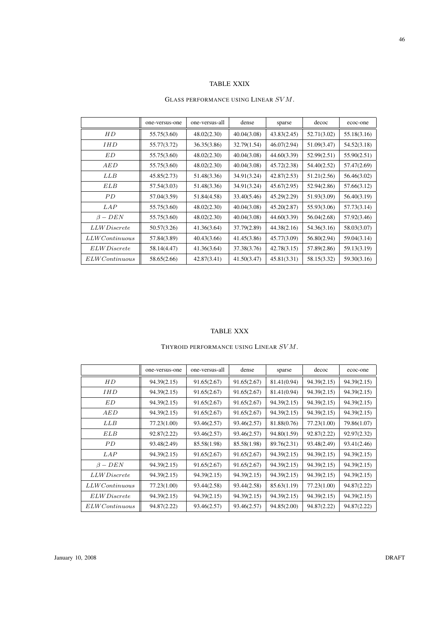## TABLE XXIX

#### GLASS PERFORMANCE USING LINEAR  $SVM$ .

|                         | one-versus-one | one-versus-all | dense       | sparse      | decoc       | ecoc-one    |
|-------------------------|----------------|----------------|-------------|-------------|-------------|-------------|
| HD                      | 55.75(3.60)    | 48.02(2.30)    | 40.04(3.08) | 43.83(2.45) | 52.71(3.02) | 55.18(3.16) |
| <i>IHD</i>              | 55.77(3.72)    | 36.35(3.86)    | 32.79(1.54) | 46.07(2.94) | 51.09(3.47) | 54.52(3.18) |
| ED                      | 55.75(3.60)    | 48.02(2.30)    | 40.04(3.08) | 44.60(3.39) | 52.99(2.51) | 55.90(2.51) |
| AED                     | 55.75(3.60)    | 48.02(2.30)    | 40.04(3.08) | 45.72(2.38) | 54.40(2.52) | 57.47(2.69) |
| LLB                     | 45.85(2.73)    | 51.48(3.36)    | 34.91(3.24) | 42.87(2.53) | 51.21(2.56) | 56.46(3.02) |
| ELB                     | 57.54(3.03)    | 51.48(3.36)    | 34.91(3.24) | 45.67(2.95) | 52.94(2.86) | 57.66(3.12) |
| PD.                     | 57.04(3.59)    | 51.84(4.58)    | 33.40(5.46) | 45.29(2.29) | 51.93(3.09) | 56.40(3.19) |
| LAP                     | 55.75(3.60)    | 48.02(2.30)    | 40.04(3.08) | 45.20(2.87) | 55.93(3.06) | 57.73(3.14) |
| $\beta - DEN$           | 55.75(3.60)    | 48.02(2.30)    | 40.04(3.08) | 44.60(3.39) | 56.04(2.68) | 57.92(3.46) |
| <i>LLW Discrete</i>     | 50.57(3.26)    | 41.36(3.64)    | 37.79(2.89) | 44.38(2.16) | 54.36(3.16) | 58.03(3.07) |
| $LLWC$ ontinuous        | 57.84(3.89)    | 40.43(3.66)    | 41.45(3.86) | 45.77(3.09) | 56.80(2.94) | 59.04(3.14) |
| <i>ELW Discrete</i>     | 58.14(4.47)    | 41.36(3.64)    | 37.38(3.76) | 42.78(3.15) | 57.89(2.86) | 59.13(3.19) |
| $ELWC$ <i>ontinuous</i> | 58.65(2.66)    | 42.87(3.41)    | 41.50(3.47) | 45.81(3.31) | 58.15(3.32) | 59.30(3.16) |

#### TABLE XXX

## THYROID PERFORMANCE USING LINEAR  $SVM$ .

|                     | one-versus-one | one-versus-all | dense       | sparse      | decoc       | ecoc-one    |
|---------------------|----------------|----------------|-------------|-------------|-------------|-------------|
| HD                  | 94.39(2.15)    | 91.65(2.67)    | 91.65(2.67) | 81.41(0.94) | 94.39(2.15) | 94.39(2.15) |
| <b>IHD</b>          | 94.39(2.15)    | 91.65(2.67)    | 91.65(2.67) | 81.41(0.94) | 94.39(2.15) | 94.39(2.15) |
| ED                  | 94.39(2.15)    | 91.65(2.67)    | 91.65(2.67) | 94.39(2.15) | 94.39(2.15) | 94.39(2.15) |
| AED                 | 94.39(2.15)    | 91.65(2.67)    | 91.65(2.67) | 94.39(2.15) | 94.39(2.15) | 94.39(2.15) |
| LLB                 | 77.23(1.00)    | 93.46(2.57)    | 93.46(2.57) | 81.88(0.76) | 77.23(1.00) | 79.86(1.07) |
| ELB                 | 92.87(2.22)    | 93.46(2.57)    | 93.46(2.57) | 94.80(1.59) | 92.87(2.22) | 92.97(2.32) |
| PD                  | 93.48(2.49)    | 85.58(1.98)    | 85.58(1.98) | 89.76(2.31) | 93.48(2.49) | 93.41(2.46) |
| LAP                 | 94.39(2.15)    | 91.65(2.67)    | 91.65(2.67) | 94.39(2.15) | 94.39(2.15) | 94.39(2.15) |
| $\beta - DEN$       | 94.39(2.15)    | 91.65(2.67)    | 91.65(2.67) | 94.39(2.15) | 94.39(2.15) | 94.39(2.15) |
| <i>LLW Discrete</i> | 94.39(2.15)    | 94.39(2.15)    | 94.39(2.15) | 94.39(2.15) | 94.39(2.15) | 94.39(2.15) |
| $LLWC$ ontinuous    | 77.23(1.00)    | 93.44(2.58)    | 93.44(2.58) | 85.63(1.19) | 77.23(1.00) | 94.87(2.22) |
| ELW Discrete        | 94.39(2.15)    | 94.39(2.15)    | 94.39(2.15) | 94.39(2.15) | 94.39(2.15) | 94.39(2.15) |
| ELWContinuous       | 94.87(2.22)    | 93.46(2.57)    | 93.46(2.57) | 94.85(2.00) | 94.87(2.22) | 94.87(2.22) |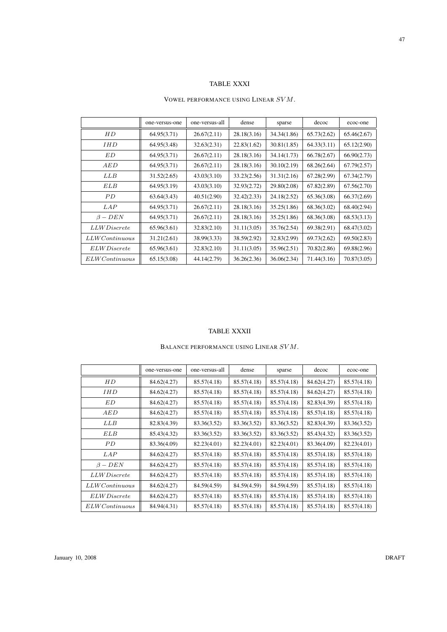## TABLE XXXI

## VOWEL PERFORMANCE USING LINEAR SVM.

|                         | one-versus-one | one-versus-all | dense       | sparse      | decoc       | ecoc-one    |
|-------------------------|----------------|----------------|-------------|-------------|-------------|-------------|
| HD                      | 64.95(3.71)    | 26.67(2.11)    | 28.18(3.16) | 34.34(1.86) | 65.73(2.62) | 65.46(2.67) |
| <b>IHD</b>              | 64.95(3.48)    | 32.63(2.31)    | 22.83(1.62) | 30.81(1.85) | 64.33(3.11) | 65.12(2.90) |
| ED                      | 64.95(3.71)    | 26.67(2.11)    | 28.18(3.16) | 34.14(1.73) | 66.78(2.67) | 66.90(2.73) |
| AED                     | 64.95(3.71)    | 26.67(2.11)    | 28.18(3.16) | 30.10(2.19) | 68.26(2.64) | 67.79(2.57) |
| LLB                     | 31.52(2.65)    | 43.03(3.10)    | 33.23(2.56) | 31.31(2.16) | 67.28(2.99) | 67.34(2.79) |
| ELB                     | 64.95(3.19)    | 43.03(3.10)    | 32.93(2.72) | 29.80(2.08) | 67.82(2.89) | 67.56(2.70) |
| PD                      | 63.64(3.43)    | 40.51(2.90)    | 32.42(2.33) | 24.18(2.52) | 65.36(3.08) | 66.37(2.69) |
| <i>LAP</i>              | 64.95(3.71)    | 26.67(2.11)    | 28.18(3.16) | 35.25(1.86) | 68.36(3.02) | 68.40(2.94) |
| $\beta - DEN$           | 64.95(3.71)    | 26.67(2.11)    | 28.18(3.16) | 35.25(1.86) | 68.36(3.08) | 68.53(3.13) |
| <i>LLW Discrete</i>     | 65.96(3.61)    | 32.83(2.10)    | 31.11(3.05) | 35.76(2.54) | 69.38(2.91) | 68.47(3.02) |
| $LLWC$ ontinuous        | 31.21(2.61)    | 38.99(3.33)    | 38.59(2.92) | 32.83(2.99) | 69.73(2.62) | 69.50(2.83) |
| <i>ELW Discrete</i>     | 65.96(3.61)    | 32.83(2.10)    | 31.11(3.05) | 35.96(2.51) | 70.82(2.86) | 69.88(2.96) |
| $ELWC$ <i>ontinuous</i> | 65.15(3.08)    | 44.14(2.79)    | 36.26(2.36) | 36.06(2.34) | 71.44(3.16) | 70.87(3.05) |

#### TABLE XXXII

## BALANCE PERFORMANCE USING LINEAR  $SVM.$

|                     | one-versus-one | one-versus-all | dense       | sparse      | decoc       | ecoc-one    |
|---------------------|----------------|----------------|-------------|-------------|-------------|-------------|
| HD                  | 84.62(4.27)    | 85.57(4.18)    | 85.57(4.18) | 85.57(4.18) | 84.62(4.27) | 85.57(4.18) |
| <i>IHD</i>          | 84.62(4.27)    | 85.57(4.18)    | 85.57(4.18) | 85.57(4.18) | 84.62(4.27) | 85.57(4.18) |
| ED                  | 84.62(4.27)    | 85.57(4.18)    | 85.57(4.18) | 85.57(4.18) | 82.83(4.39) | 85.57(4.18) |
| AED                 | 84.62(4.27)    | 85.57(4.18)    | 85.57(4.18) | 85.57(4.18) | 85.57(4.18) | 85.57(4.18) |
| LLB                 | 82.83(4.39)    | 83.36(3.52)    | 83.36(3.52) | 83.36(3.52) | 82.83(4.39) | 83.36(3.52) |
| ELB                 | 85.43(4.32)    | 83.36(3.52)    | 83.36(3.52) | 83.36(3.52) | 85.43(4.32) | 83.36(3.52) |
| PD                  | 83.36(4.09)    | 82.23(4.01)    | 82.23(4.01) | 82.23(4.01) | 83.36(4.09) | 82.23(4.01) |
| LAP                 | 84.62(4.27)    | 85.57(4.18)    | 85.57(4.18) | 85.57(4.18) | 85.57(4.18) | 85.57(4.18) |
| $\beta - DEN$       | 84.62(4.27)    | 85.57(4.18)    | 85.57(4.18) | 85.57(4.18) | 85.57(4.18) | 85.57(4.18) |
| <i>LLW Discrete</i> | 84.62(4.27)    | 85.57(4.18)    | 85.57(4.18) | 85.57(4.18) | 85.57(4.18) | 85.57(4.18) |
| $LLWC$ ontinuous    | 84.62(4.27)    | 84.59(4.59)    | 84.59(4.59) | 84.59(4.59) | 85.57(4.18) | 85.57(4.18) |
| ELW Discrete        | 84.62(4.27)    | 85.57(4.18)    | 85.57(4.18) | 85.57(4.18) | 85.57(4.18) | 85.57(4.18) |
| ELWContinuous       | 84.94(4.31)    | 85.57(4.18)    | 85.57(4.18) | 85.57(4.18) | 85.57(4.18) | 85.57(4.18) |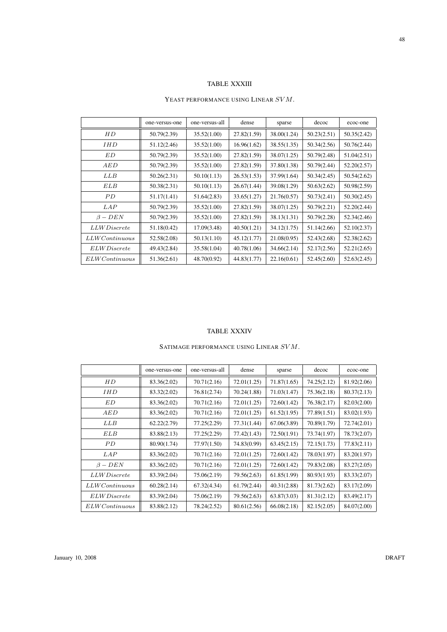## TABLE XXXIII

#### YEAST PERFORMANCE USING LINEAR SVM.

|                         | one-versus-one | one-versus-all | dense       | sparse      | decoc       | ecoc-one    |
|-------------------------|----------------|----------------|-------------|-------------|-------------|-------------|
| HD                      | 50.79(2.39)    | 35.52(1.00)    | 27.82(1.59) | 38.00(1.24) | 50.23(2.51) | 50.35(2.42) |
| <i>IHD</i>              | 51.12(2.46)    | 35.52(1.00)    | 16.96(1.62) | 38.55(1.35) | 50.34(2.56) | 50.76(2.44) |
| ED                      | 50.79(2.39)    | 35.52(1.00)    | 27.82(1.59) | 38.07(1.25) | 50.79(2.48) | 51.04(2.51) |
| AED                     | 50.79(2.39)    | 35.52(1.00)    | 27.82(1.59) | 37.80(1.38) | 50.79(2.44) | 52.20(2.57) |
| LLB                     | 50.26(2.31)    | 50.10(1.13)    | 26.53(1.53) | 37.99(1.64) | 50.34(2.45) | 50.54(2.62) |
| ELB                     | 50.38(2.31)    | 50.10(1.13)    | 26.67(1.44) | 39.08(1.29) | 50.63(2.62) | 50.98(2.59) |
| PD.                     | 51.17(1.41)    | 51.64(2.83)    | 33.65(1.27) | 21.76(0.57) | 50.73(2.41) | 50.30(2.45) |
| LAP                     | 50.79(2.39)    | 35.52(1.00)    | 27.82(1.59) | 38.07(1.25) | 50.79(2.21) | 52.20(2.44) |
| $\beta - DEN$           | 50.79(2.39)    | 35.52(1.00)    | 27.82(1.59) | 38.13(1.31) | 50.79(2.28) | 52.34(2.46) |
| <i>LLW Discrete</i>     | 51.18(0.42)    | 17.09(3.48)    | 40.50(1.21) | 34.12(1.75) | 51.14(2.66) | 52.10(2.37) |
| $LLWC$ ontinuous        | 52.58(2.08)    | 50.13(1.10)    | 45.12(1.77) | 21.08(0.95) | 52.43(2.68) | 52.38(2.62) |
| <i>ELW Discrete</i>     | 49.43(2.84)    | 35.58(1.04)    | 40.78(1.06) | 34.66(2.14) | 52.17(2.56) | 52.21(2.65) |
| $ELWC$ <i>ontinuous</i> | 51.36(2.61)    | 48.70(0.92)    | 44.83(1.77) | 22.16(0.61) | 52.45(2.60) | 52.63(2.45) |

#### TABLE XXXIV

## SATIMAGE PERFORMANCE USING LINEAR  $SVM.$

|                         | one-versus-one | one-versus-all | dense       | sparse      | decoc       | ecoc-one    |
|-------------------------|----------------|----------------|-------------|-------------|-------------|-------------|
| HD                      | 83.36(2.02)    | 70.71(2.16)    | 72.01(1.25) | 71.87(1.65) | 74.25(2.12) | 81.92(2.06) |
| IHD                     | 83.32(2.02)    | 76.81(2.74)    | 70.24(1.88) | 71.03(1.47) | 75.36(2.18) | 80.37(2.13) |
| ED                      | 83.36(2.02)    | 70.71(2.16)    | 72.01(1.25) | 72.60(1.42) | 76.38(2.17) | 82.03(2.00) |
| AED                     | 83.36(2.02)    | 70.71(2.16)    | 72.01(1.25) | 61.52(1.95) | 77.89(1.51) | 83.02(1.93) |
| LLB                     | 62.22(2.79)    | 77.25(2.29)    | 77.31(1.44) | 67.06(3.89) | 70.89(1.79) | 72.74(2.01) |
| ELB                     | 83.88(2.13)    | 77.25(2.29)    | 77.42(1.43) | 72.50(1.91) | 73.74(1.97) | 78.73(2.07) |
| PD                      | 80.90(1.74)    | 77.97(1.50)    | 74.83(0.99) | 63.45(2.15) | 72.15(1.73) | 77.83(2.11) |
| LAP                     | 83.36(2.02)    | 70.71(2.16)    | 72.01(1.25) | 72.60(1.42) | 78.03(1.97) | 83.20(1.97) |
| $\beta - DEN$           | 83.36(2.02)    | 70.71(2.16)    | 72.01(1.25) | 72.60(1.42) | 79.83(2.08) | 83.27(2.05) |
| <i>LLW Discrete</i>     | 83.39(2.04)    | 75.06(2.19)    | 79.56(2.63) | 61.85(1.99) | 80.93(1.93) | 83.33(2.07) |
| $LLWC$ ontinuous        | 60.28(2.14)    | 67.32(4.34)    | 61.79(2.44) | 40.31(2.88) | 81.73(2.62) | 83.17(2.09) |
| <i>ELW Discrete</i>     | 83.39(2.04)    | 75.06(2.19)    | 79.56(2.63) | 63.87(3.03) | 81.31(2.12) | 83.49(2.17) |
| $ELWC$ <i>ontinuous</i> | 83.88(2.12)    | 78.24(2.52)    | 80.61(2.56) | 66.08(2.18) | 82.15(2.05) | 84.07(2.00) |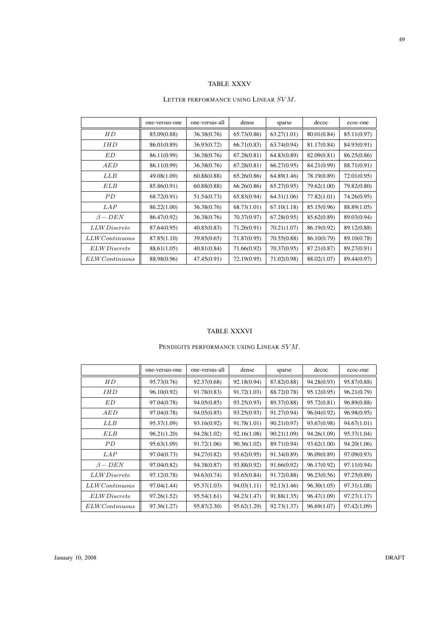## TABLE XXXV

## LETTER PERFORMANCE USING LINEAR  $SVM$ .

|                         | one-versus-one | one-versus-all | dense       | sparse      | decoc       | ecoc-one    |
|-------------------------|----------------|----------------|-------------|-------------|-------------|-------------|
| НD                      | 85.09(0.88)    | 36.38(0.76)    | 65.73(0.86) | 63.27(1.01) | 80.01(0.84) | 85.11(0.97) |
| <i>IHD</i>              | 86.01(0.89)    | 36.93(0.72)    | 66.71(0.83) | 63.74(0.94) | 81.17(0.84) | 84.93(0.91) |
| ED                      | 86.11(0.99)    | 36.38(0.76)    | 67.28(0.81) | 64.83(0.89) | 82.09(0.81) | 86.25(0.86) |
| AED                     | 86.11(0.99)    | 36.38(0.76)    | 67.28(0.81) | 66.27(0.95) | 84.21(0.99) | 88.71(0.91) |
| LLB                     | 49.08(1.09)    | 60.88(0.88)    | 65.26(0.86) | 64.89(1.46) | 78.19(0.89) | 72.01(0.95) |
| ELB                     | 85.86(0.91)    | 60.88(0.88)    | 66.26(0.86) | 65.27(0.95) | 79.62(1.00) | 79.82(0.80) |
| PD.                     | 68.72(0.91)    | 51.54(0.73)    | 65.83(0.94) | 64.31(1.06) | 77.82(1.01) | 74.26(0.95) |
| LAP                     | 86.22(1.00)    | 36.38(0.76)    | 68.73(1.01) | 67.10(1.18) | 85.15(0.96) | 88.89(1.05) |
| $\beta - DEN$           | 86.47(0.92)    | 36.38(0.76)    | 70.37(0.97) | 67.28(0.95) | 85.62(0.89) | 89.03(0.94) |
| <i>LLW Discrete</i>     | 87.64(0.95)    | 40.85(0.83)    | 71.26(0.91) | 70.21(1.07) | 86.19(0.92) | 89.12(0.88) |
| $LLWC$ ontinuous        | 87.85(1.10)    | 39.85(0.65)    | 71.87(0.95) | 70.55(0.88) | 86.10(0.79) | 89.10(0.78) |
| <i>ELW Discrete</i>     | 88.61(1.05)    | 40.81(0.84)    | 71.66(0.92) | 70.37(0.95) | 87.21(0.87) | 89.27(0.91) |
| $ELWC$ <i>ontinuous</i> | 88.98(0.96)    | 47.45(0.91)    | 72.19(0.95) | 71.02(0.98) | 88.02(1.07) | 89.44(0.97) |

#### TABLE XXXVI

## PENDIGITS PERFORMANCE USING LINEAR SVM.

|                     | one-versus-one | one-versus-all | dense       | sparse      | decoc       | ecoc-one    |
|---------------------|----------------|----------------|-------------|-------------|-------------|-------------|
| HD                  | 95.73(0.76)    | 92.37(0.68)    | 92.18(0.94) | 87.82(0.88) | 94.28(0.93) | 95.87(0.88) |
| <i>IHD</i>          | 96.10(0.92)    | 91.78(0.83)    | 91.72(1.03) | 88.72(0.78) | 95.12(0.95) | 96.21(0.79) |
| ED                  | 97.04(0.78)    | 94.05(0.85)    | 93.25(0.93) | 89.37(0.88) | 95.72(0.81) | 96.89(0.88) |
| AED                 | 97.04(0.78)    | 94.05(0.85)    | 93.25(0.93) | 91.27(0.94) | 96.04(0.92) | 96.98(0.95) |
| LLB                 | 95.37(1.09)    | 93.16(0.92)    | 91.78(1.01) | 90.21(0.97) | 93.67(0.98) | 94.67(1.01) |
| ELB                 | 96.21(1.20)    | 94.28(1.02)    | 92.16(1.08) | 90.21(1.09) | 94.26(1.09) | 95.37(1.04) |
| PD                  | 95.63(1.09)    | 91.72(1.06)    | 90.36(1.02) | 89.71(0.94) | 93.62(1.00) | 94.20(1.06) |
| LAP                 | 97.04(0.73)    | 94.27(0.82)    | 93.62(0.95) | 91.34(0.89) | 96.09(0.89) | 97.09(0.93) |
| $\beta - DEN$       | 97.04(0.82)    | 94.38(0.87)    | 93.88(0.92) | 91.66(0.92) | 96.17(0.92) | 97.11(0.94) |
| <i>LLW Discrete</i> | 97.12(0.78)    | 94.63(0.74)    | 93.65(0.84) | 91.72(0.88) | 96.23(0.56) | 97.25(0.89) |
| $LLWC$ ontinuous    | 97.04(1.44)    | 95.37(1.03)    | 94.03(1.11) | 92.13(1.46) | 96.30(1.05) | 97.31(1.08) |
| ELW Discrete        | 97.26(1.52)    | 95.54(1.61)    | 94.23(1.47) | 91.88(1.35) | 96.47(1.09) | 97.27(1.17) |
| ELWContinuous       | 97.36(1.27)    | 95.87(2.30)    | 95.62(1.29) | 92.73(1.37) | 96.69(1.07) | 97.42(1.09) |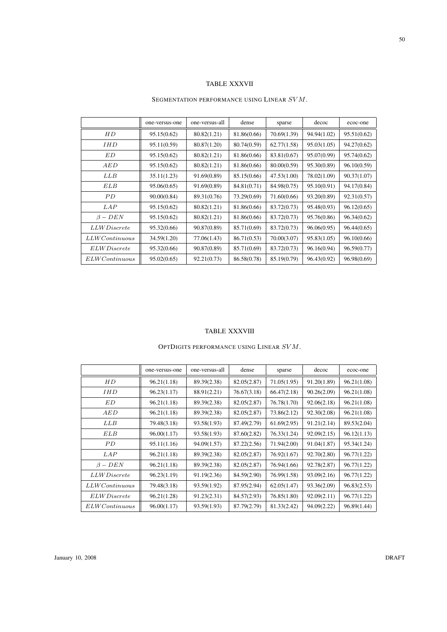# TABLE XXXVII

## SEGMENTATION PERFORMANCE USING LINEAR SVM.

|                         | one-versus-one | one-versus-all | dense       | sparse      | decoc       | ecoc-one    |
|-------------------------|----------------|----------------|-------------|-------------|-------------|-------------|
| НD                      | 95.15(0.62)    | 80.82(1.21)    | 81.86(0.66) | 70.69(1.39) | 94.94(1.02) | 95.51(0.62) |
| <i>IHD</i>              | 95.11(0.59)    | 80.87(1.20)    | 80.74(0.59) | 62.77(1.58) | 95.03(1.05) | 94.27(0.62) |
| ED                      | 95.15(0.62)    | 80.82(1.21)    | 81.86(0.66) | 83.81(0.67) | 95.07(0.99) | 95.74(0.62) |
| AED                     | 95.15(0.62)    | 80.82(1.21)    | 81.86(0.66) | 80.00(0.59) | 95.30(0.89) | 96.10(0.59) |
| LLB                     | 35.11(1.23)    | 91.69(0.89)    | 85.15(0.66) | 47.53(1.00) | 78.02(1.09) | 90.37(1.07) |
| ELB                     | 95.06(0.65)    | 91.69(0.89)    | 84.81(0.71) | 84.98(0.75) | 95.10(0.91) | 94.17(0.84) |
| PD.                     | 90.00(0.84)    | 89.31(0.76)    | 73.29(0.69) | 71.60(0.66) | 93.20(0.89) | 92.31(0.57) |
| <i>LAP</i>              | 95.15(0.62)    | 80.82(1.21)    | 81.86(0.66) | 83.72(0.73) | 95.48(0.93) | 96.12(0.65) |
| $\beta - DEN$           | 95.15(0.62)    | 80.82(1.21)    | 81.86(0.66) | 83.72(0.73) | 95.76(0.86) | 96.34(0.62) |
| <i>LLW Discrete</i>     | 95.32(0.66)    | 90.87(0.89)    | 85.71(0.69) | 83.72(0.73) | 96.06(0.95) | 96.44(0.65) |
| $LLWC$ ontinuous        | 34.59(1.20)    | 77.06(1.43)    | 86.71(0.53) | 70.00(3.07) | 95.83(1.05) | 96.10(0.66) |
| ELW Discrete            | 95.32(0.66)    | 90.87(0.89)    | 85.71(0.69) | 83.72(0.73) | 96.16(0.94) | 96.59(0.77) |
| $ELWC$ <i>ontinuous</i> | 95.02(0.65)    | 92.21(0.73)    | 86.58(0.78) | 85.19(0.79) | 96.43(0.92) | 96.98(0.69) |

#### TABLE XXXVIII

## OPTDIGITS PERFORMANCE USING LINEAR  $SVM$ .

|                     | one-versus-one | one-versus-all | dense       | sparse      | decoc       | ecoc-one    |
|---------------------|----------------|----------------|-------------|-------------|-------------|-------------|
| HD                  | 96.21(1.18)    | 89.39(2.38)    | 82.05(2.87) | 71.05(1.95) | 91.20(1.89) | 96.21(1.08) |
| <i>IHD</i>          | 96.23(1.17)    | 88.91(2.21)    | 76.67(3.18) | 66.47(2.18) | 90.26(2.09) | 96.21(1.08) |
| ED                  | 96.21(1.18)    | 89.39(2.38)    | 82.05(2.87) | 76.78(1.70) | 92.06(2.18) | 96.21(1.08) |
| AED                 | 96.21(1.18)    | 89.39(2.38)    | 82.05(2.87) | 73.86(2.12) | 92.30(2.08) | 96.21(1.08) |
| LLB                 | 79.48(3.18)    | 93.58(1.93)    | 87.49(2.79) | 61.69(2.95) | 91.21(2.14) | 89.53(2.04) |
| <b>ELB</b>          | 96.00(1.17)    | 93.58(1.93)    | 87.60(2.82) | 76.33(1.24) | 92.09(2.15) | 96.12(1.13) |
| PD                  | 95.11(1.16)    | 94.09(1.57)    | 87.22(2.56) | 71.94(2.00) | 91.04(1.87) | 95.34(1.24) |
| LAP                 | 96.21(1.18)    | 89.39(2.38)    | 82.05(2.87) | 76.92(1.67) | 92.70(2.80) | 96.77(1.22) |
| $\beta - DEN$       | 96.21(1.18)    | 89.39(2.38)    | 82.05(2.87) | 76.94(1.66) | 92.78(2.87) | 96.77(1.22) |
| <i>LLW Discrete</i> | 96.23(1.19)    | 91.19(2.36)    | 84.59(2.90) | 76.99(1.58) | 93.09(2.16) | 96.77(1.22) |
| $LLWC$ ontinuous    | 79.48(3.18)    | 93.59(1.92)    | 87.95(2.94) | 62.05(1.47) | 93.36(2.09) | 96.83(2.53) |
| <i>ELW Discrete</i> | 96.21(1.28)    | 91.23(2.31)    | 84.57(2.93) | 76.85(1.80) | 92.09(2.11) | 96.77(1.22) |
| ELWContinuous       | 96.00(1.17)    | 93.59(1.93)    | 87.79(2.79) | 81.33(2.42) | 94.09(2.22) | 96.89(1.44) |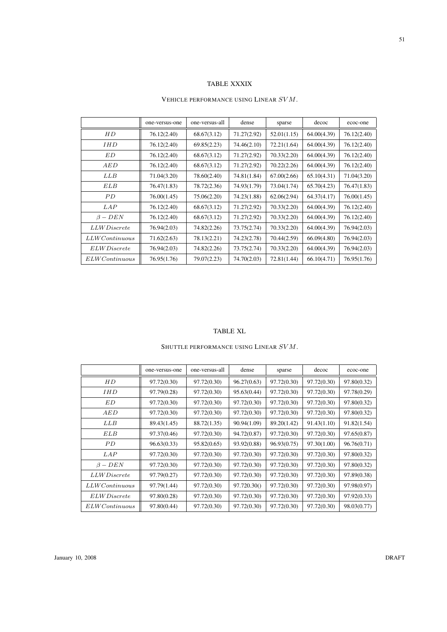## TABLE XXXIX

#### VEHICLE PERFORMANCE USING LINEAR SVM.

|                         | one-versus-one | one-versus-all | dense       | sparse      | decoc       | ecoc-one    |
|-------------------------|----------------|----------------|-------------|-------------|-------------|-------------|
| HD                      | 76.12(2.40)    | 68.67(3.12)    | 71.27(2.92) | 52.01(1.15) | 64.00(4.39) | 76.12(2.40) |
| <i>IHD</i>              | 76.12(2.40)    | 69.85(2.23)    | 74.46(2.10) | 72.21(1.64) | 64.00(4.39) | 76.12(2.40) |
| ED                      | 76.12(2.40)    | 68.67(3.12)    | 71.27(2.92) | 70.33(2.20) | 64.00(4.39) | 76.12(2.40) |
| AED                     | 76.12(2.40)    | 68.67(3.12)    | 71.27(2.92) | 70.22(2.26) | 64.00(4.39) | 76.12(2.40) |
| <b>LLB</b>              | 71.04(3.20)    | 78.60(2.40)    | 74.81(1.84) | 67.00(2.66) | 65.10(4.31) | 71.04(3.20) |
| ELB                     | 76.47(1.83)    | 78.72(2.36)    | 74.93(1.79) | 73.04(1.74) | 65.70(4.23) | 76.47(1.83) |
| PD                      | 76.00(1.45)    | 75.06(2.20)    | 74.23(1.88) | 62.06(2.94) | 64.37(4.17) | 76.00(1.45) |
| <i>LAP</i>              | 76.12(2.40)    | 68.67(3.12)    | 71.27(2.92) | 70.33(2.20) | 64.00(4.39) | 76.12(2.40) |
| $\beta - DEN$           | 76.12(2.40)    | 68.67(3.12)    | 71.27(2.92) | 70.33(2.20) | 64.00(4.39) | 76.12(2.40) |
| <i>LLW Discrete</i>     | 76.94(2.03)    | 74.82(2.26)    | 73.75(2.74) | 70.33(2.20) | 64.00(4.39) | 76.94(2.03) |
| $LLWC$ ontinuous        | 71.62(2.63)    | 78.13(2.21)    | 74.23(2.78) | 70.44(2.59) | 66.09(4.80) | 76.94(2.03) |
| <i>ELW Discrete</i>     | 76.94(2.03)    | 74.82(2.26)    | 73.75(2.74) | 70.33(2.20) | 64.00(4.39) | 76.94(2.03) |
| $ELWC$ <i>ontinuous</i> | 76.95(1.76)    | 79.07(2.23)    | 74.70(2.03) | 72.81(1.44) | 66.10(4.71) | 76.95(1.76) |

#### TABLE XL

## SHUTTLE PERFORMANCE USING LINEAR  $SVM.$

|                         | one-versus-one | one-versus-all | dense       | sparse      | decoc       | ecoc-one    |
|-------------------------|----------------|----------------|-------------|-------------|-------------|-------------|
| HD                      | 97.72(0.30)    | 97.72(0.30)    | 96.27(0.63) | 97.72(0.30) | 97.72(0.30) | 97.80(0.32) |
| <i>IHD</i>              | 97.79(0.28)    | 97.72(0.30)    | 95.63(0.44) | 97.72(0.30) | 97.72(0.30) | 97.78(0.29) |
| ED                      | 97.72(0.30)    | 97.72(0.30)    | 97.72(0.30) | 97.72(0.30) | 97.72(0.30) | 97.80(0.32) |
| AED                     | 97.72(0.30)    | 97.72(0.30)    | 97.72(0.30) | 97.72(0.30) | 97.72(0.30) | 97.80(0.32) |
| LLB                     | 89.43(1.45)    | 88.72(1.35)    | 90.94(1.09) | 89.20(1.42) | 91.43(1.10) | 91.82(1.54) |
| <b>ELB</b>              | 97.37(0.46)    | 97.72(0.30)    | 94.72(0.87) | 97.72(0.30) | 97.72(0.30) | 97.65(0.87) |
| PD                      | 96.63(0.33)    | 95.82(0.65)    | 93.92(0.88) | 96.93(0.75) | 97.30(1.00) | 96.76(0.71) |
| <i>LAP</i>              | 97.72(0.30)    | 97.72(0.30)    | 97.72(0.30) | 97.72(0.30) | 97.72(0.30) | 97.80(0.32) |
| $\beta - DEN$           | 97.72(0.30)    | 97.72(0.30)    | 97.72(0.30) | 97.72(0.30) | 97.72(0.30) | 97.80(0.32) |
| <i>LLW Discrete</i>     | 97.79(0.27)    | 97.72(0.30)    | 97.72(0.30) | 97.72(0.30) | 97.72(0.30) | 97.89(0.38) |
| $LLWC$ ontinuous        | 97.79(1.44)    | 97.72(0.30)    | 97.720.30() | 97.72(0.30) | 97.72(0.30) | 97.98(0.97) |
| ELW Discrete            | 97.80(0.28)    | 97.72(0.30)    | 97.72(0.30) | 97.72(0.30) | 97.72(0.30) | 97.92(0.33) |
| $ELWC$ <i>ontinuous</i> | 97.80(0.44)    | 97.72(0.30)    | 97.72(0.30) | 97.72(0.30) | 97.72(0.30) | 98.03(0.77) |